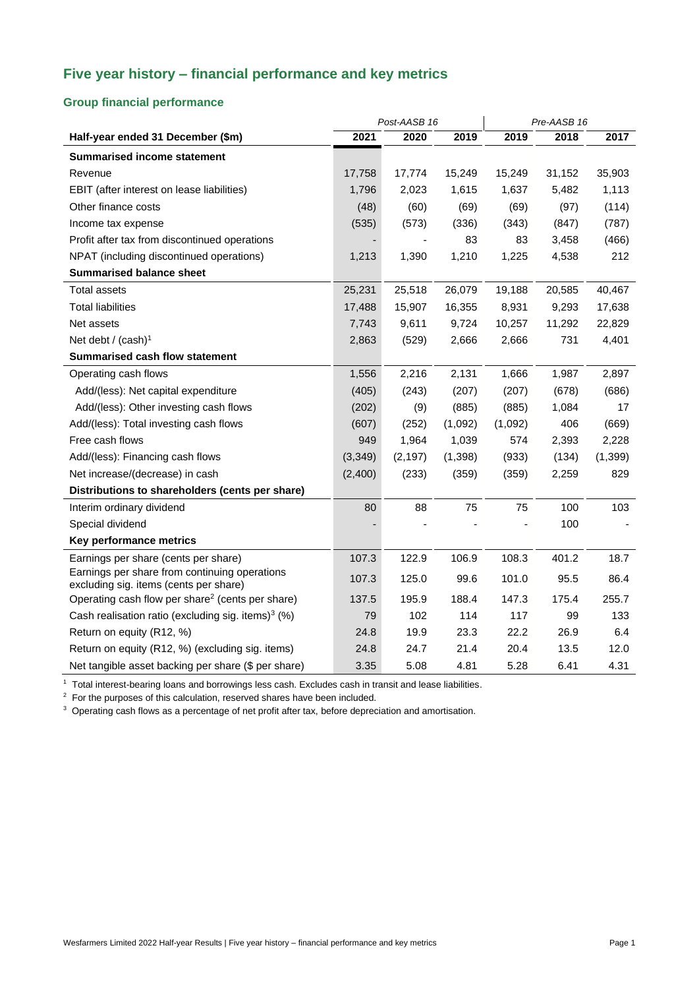# **Five year history – financial performance and key metrics**

### **Group financial performance**

|                                                                                         | Post-AASB 16 |          |         | Pre-AASB 16 |        |          |
|-----------------------------------------------------------------------------------------|--------------|----------|---------|-------------|--------|----------|
| Half-year ended 31 December (\$m)                                                       | 2021         | 2020     | 2019    | 2019        | 2018   | 2017     |
| <b>Summarised income statement</b>                                                      |              |          |         |             |        |          |
| Revenue                                                                                 | 17,758       | 17,774   | 15,249  | 15,249      | 31,152 | 35,903   |
| EBIT (after interest on lease liabilities)                                              | 1,796        | 2,023    | 1,615   | 1,637       | 5,482  | 1,113    |
| Other finance costs                                                                     | (48)         | (60)     | (69)    | (69)        | (97)   | (114)    |
| Income tax expense                                                                      | (535)        | (573)    | (336)   | (343)       | (847)  | (787)    |
| Profit after tax from discontinued operations                                           |              |          | 83      | 83          | 3,458  | (466)    |
| NPAT (including discontinued operations)                                                | 1,213        | 1,390    | 1,210   | 1,225       | 4,538  | 212      |
| <b>Summarised balance sheet</b>                                                         |              |          |         |             |        |          |
| <b>Total assets</b>                                                                     | 25,231       | 25,518   | 26,079  | 19,188      | 20,585 | 40,467   |
| <b>Total liabilities</b>                                                                | 17,488       | 15,907   | 16,355  | 8,931       | 9,293  | 17,638   |
| Net assets                                                                              | 7,743        | 9,611    | 9,724   | 10,257      | 11,292 | 22,829   |
| Net debt / $(cash)1$                                                                    | 2,863        | (529)    | 2,666   | 2,666       | 731    | 4,401    |
| <b>Summarised cash flow statement</b>                                                   |              |          |         |             |        |          |
| Operating cash flows                                                                    | 1,556        | 2,216    | 2,131   | 1,666       | 1,987  | 2,897    |
| Add/(less): Net capital expenditure                                                     | (405)        | (243)    | (207)   | (207)       | (678)  | (686)    |
| Add/(less): Other investing cash flows                                                  | (202)        | (9)      | (885)   | (885)       | 1,084  | 17       |
| Add/(less): Total investing cash flows                                                  | (607)        | (252)    | (1,092) | (1,092)     | 406    | (669)    |
| Free cash flows                                                                         | 949          | 1,964    | 1,039   | 574         | 2,393  | 2,228    |
| Add/(less): Financing cash flows                                                        | (3,349)      | (2, 197) | (1,398) | (933)       | (134)  | (1, 399) |
| Net increase/(decrease) in cash                                                         | (2,400)      | (233)    | (359)   | (359)       | 2,259  | 829      |
| Distributions to shareholders (cents per share)                                         |              |          |         |             |        |          |
| Interim ordinary dividend                                                               | 80           | 88       | 75      | 75          | 100    | 103      |
| Special dividend                                                                        |              |          |         |             | 100    |          |
| Key performance metrics                                                                 |              |          |         |             |        |          |
| Earnings per share (cents per share)                                                    | 107.3        | 122.9    | 106.9   | 108.3       | 401.2  | 18.7     |
| Earnings per share from continuing operations<br>excluding sig. items (cents per share) | 107.3        | 125.0    | 99.6    | 101.0       | 95.5   | 86.4     |
| Operating cash flow per share <sup>2</sup> (cents per share)                            | 137.5        | 195.9    | 188.4   | 147.3       | 175.4  | 255.7    |
| Cash realisation ratio (excluding sig. items) <sup>3</sup> (%)                          | 79           | 102      | 114     | 117         | 99     | 133      |
| Return on equity (R12, %)                                                               | 24.8         | 19.9     | 23.3    | 22.2        | 26.9   | 6.4      |
| Return on equity (R12, %) (excluding sig. items)                                        | 24.8         | 24.7     | 21.4    | 20.4        | 13.5   | 12.0     |
| Net tangible asset backing per share (\$ per share)                                     | 3.35         | 5.08     | 4.81    | 5.28        | 6.41   | 4.31     |

<sup>1</sup> Total interest-bearing loans and borrowings less cash. Excludes cash in transit and lease liabilities.

 $2$  For the purposes of this calculation, reserved shares have been included.

<sup>3</sup> Operating cash flows as a percentage of net profit after tax, before depreciation and amortisation.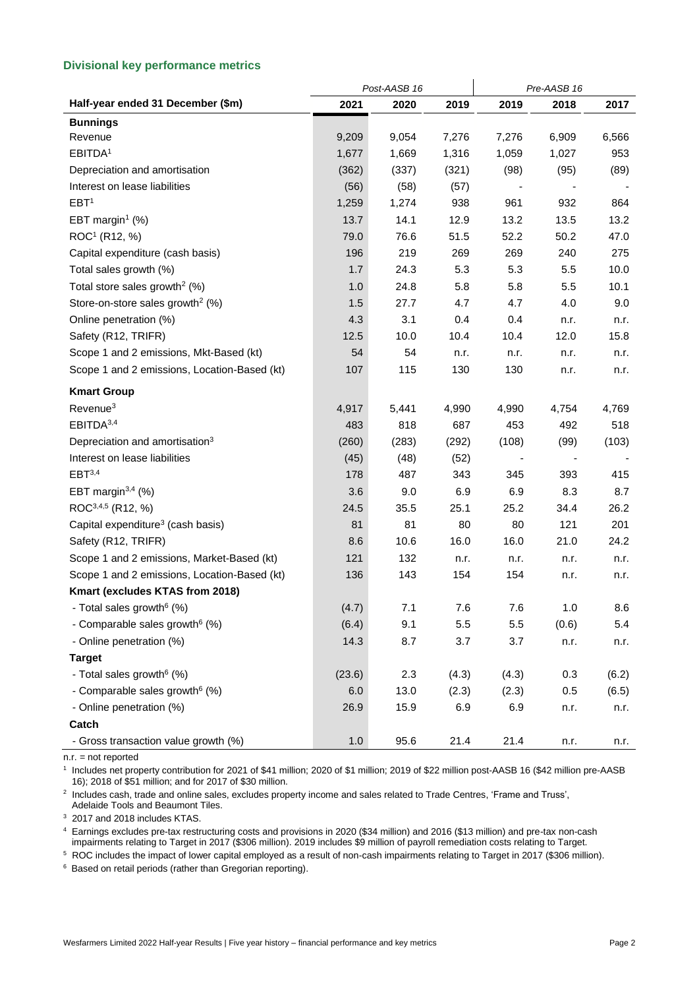#### **Divisional key performance metrics**

|                                               | Post-AASB 16 |       |         | Pre-AASB 16 |                              |       |  |
|-----------------------------------------------|--------------|-------|---------|-------------|------------------------------|-------|--|
| Half-year ended 31 December (\$m)             | 2021         | 2020  | 2019    | 2019        | 2018                         | 2017  |  |
| <b>Bunnings</b>                               |              |       |         |             |                              |       |  |
| Revenue                                       | 9,209        | 9,054 | 7,276   | 7,276       | 6,909                        | 6,566 |  |
| EBITDA <sup>1</sup>                           | 1,677        | 1,669 | 1,316   | 1,059       | 1,027                        | 953   |  |
| Depreciation and amortisation                 | (362)        | (337) | (321)   | (98)        | (95)                         | (89)  |  |
| Interest on lease liabilities                 | (56)         | (58)  | (57)    |             |                              |       |  |
| EBT <sup>1</sup>                              | 1,259        | 1,274 | 938     | 961         | 932                          | 864   |  |
| EBT margin <sup>1</sup> $(\%)$                | 13.7         | 14.1  | 12.9    | 13.2        | 13.5                         | 13.2  |  |
| ROC <sup>1</sup> (R12, %)                     | 79.0         | 76.6  | 51.5    | 52.2        | 50.2                         | 47.0  |  |
| Capital expenditure (cash basis)              | 196          | 219   | 269     | 269         | 240                          | 275   |  |
| Total sales growth (%)                        | 1.7          | 24.3  | 5.3     | 5.3         | 5.5                          | 10.0  |  |
| Total store sales growth <sup>2</sup> (%)     | 1.0          | 24.8  | 5.8     | 5.8         | 5.5                          | 10.1  |  |
| Store-on-store sales growth <sup>2</sup> (%)  | 1.5          | 27.7  | 4.7     | 4.7         | 4.0                          | 9.0   |  |
| Online penetration (%)                        | 4.3          | 3.1   | 0.4     | 0.4         | n.r.                         | n.r.  |  |
| Safety (R12, TRIFR)                           | 12.5         | 10.0  | 10.4    | 10.4        | 12.0                         | 15.8  |  |
| Scope 1 and 2 emissions, Mkt-Based (kt)       | 54           | 54    | n.r.    | n.r.        | n.r.                         | n.r.  |  |
| Scope 1 and 2 emissions, Location-Based (kt)  | 107          | 115   | 130     | 130         | n.r.                         | n.r.  |  |
| <b>Kmart Group</b>                            |              |       |         |             |                              |       |  |
| Revenue <sup>3</sup>                          | 4,917        | 5,441 | 4,990   | 4,990       | 4,754                        | 4,769 |  |
| EBITDA <sup>3,4</sup>                         | 483          | 818   | 687     | 453         | 492                          | 518   |  |
| Depreciation and amortisation <sup>3</sup>    | (260)        | (283) | (292)   | (108)       | (99)                         | (103) |  |
| Interest on lease liabilities                 | (45)         | (48)  | (52)    |             | $\qquad \qquad \blacksquare$ |       |  |
| EBT <sup>3,4</sup>                            | 178          | 487   | 343     | 345         | 393                          | 415   |  |
| EBT margin $3,4$ (%)                          | 3.6          | 9.0   | 6.9     | 6.9         | 8.3                          | 8.7   |  |
| ROC <sup>3,4,5</sup> (R12, %)                 | 24.5         | 35.5  | 25.1    | 25.2        | 34.4                         | 26.2  |  |
| Capital expenditure <sup>3</sup> (cash basis) | 81           | 81    | 80      | 80          | 121                          | 201   |  |
| Safety (R12, TRIFR)                           | 8.6          | 10.6  | 16.0    | 16.0        | 21.0                         | 24.2  |  |
| Scope 1 and 2 emissions, Market-Based (kt)    | 121          | 132   | n.r.    | n.r.        | n.r.                         | n.r.  |  |
| Scope 1 and 2 emissions, Location-Based (kt)  | 136          | 143   | 154     | 154         | n.r.                         | n.r.  |  |
| Kmart (excludes KTAS from 2018)               |              |       |         |             |                              |       |  |
| - Total sales growth <sup>6</sup> (%)         | (4.7)        | 7.1   | 7.6     | 7.6         | 1.0                          | 8.6   |  |
| - Comparable sales growth <sup>6</sup> (%)    | (6.4)        | 9.1   | $5.5\,$ | 5.5         | (0.6)                        | 5.4   |  |
| - Online penetration (%)                      | 14.3         | 8.7   | 3.7     | 3.7         | n.r.                         | n.r.  |  |
| <b>Target</b>                                 |              |       |         |             |                              |       |  |
| - Total sales growth <sup>6</sup> (%)         | (23.6)       | 2.3   | (4.3)   | (4.3)       | 0.3                          | (6.2) |  |
| - Comparable sales growth <sup>6</sup> (%)    | 6.0          | 13.0  | (2.3)   | (2.3)       | 0.5                          | (6.5) |  |
| - Online penetration (%)                      | 26.9         | 15.9  | 6.9     | 6.9         | n.r.                         | n.r.  |  |
| Catch                                         |              |       |         |             |                              |       |  |
| - Gross transaction value growth (%)          | 1.0          | 95.6  | 21.4    | 21.4        | n.r.                         | n.r.  |  |

n.r. = not reported

1 Includes net property contribution for 2021 of \$41 million; 2020 of \$1 million; 2019 of \$22 million post-AASB 16 (\$42 million pre-AASB 16); 2018 of \$51 million; and for 2017 of \$30 million.

2 Includes cash, trade and online sales, excludes property income and sales related to Trade Centres, 'Frame and Truss', Adelaide Tools and Beaumont Tiles.

<sup>3</sup> 2017 and 2018 includes KTAS.

<sup>4</sup> Earnings excludes pre-tax restructuring costs and provisions in 2020 (\$34 million) and 2016 (\$13 million) and pre-tax non-cash impairments relating to Target in 2017 (\$306 million). 2019 includes \$9 million of payroll remediation costs relating to Target.

<sup>5</sup> ROC includes the impact of lower capital employed as a result of non-cash impairments relating to Target in 2017 (\$306 million).

<sup>6</sup> Based on retail periods (rather than Gregorian reporting).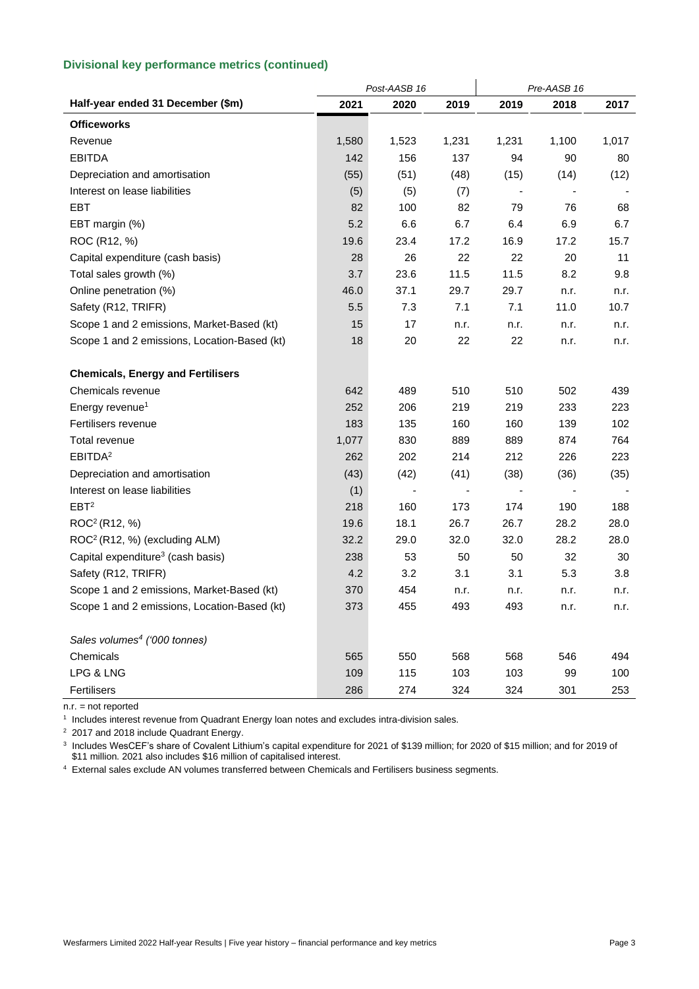#### **Divisional key performance metrics (continued)**

| Half-year ended 31 December (\$m)<br>2021<br>2020<br>2018<br>2019<br>2019         | 2017  |
|-----------------------------------------------------------------------------------|-------|
|                                                                                   |       |
| <b>Officeworks</b>                                                                |       |
| Revenue<br>1,580<br>1,523<br>1,231<br>1,231<br>1,100                              | 1,017 |
| <b>EBITDA</b><br>90<br>142<br>156<br>137<br>94                                    | 80    |
| (55)<br>(48)<br>Depreciation and amortisation<br>(51)<br>(14)<br>(15)             | (12)  |
| Interest on lease liabilities<br>(5)<br>(5)<br>(7)                                |       |
| 82<br>82<br>79<br>76<br><b>EBT</b><br>100                                         | 68    |
| 5.2<br>$6.6\,$<br>6.7<br>6.4<br>6.9<br>EBT margin (%)                             | 6.7   |
| ROC (R12, %)<br>23.4<br>17.2<br>16.9<br>17.2<br>19.6                              | 15.7  |
| Capital expenditure (cash basis)<br>28<br>22<br>22<br>20<br>26                    | 11    |
| 23.6<br>11.5<br>8.2<br>Total sales growth (%)<br>3.7<br>11.5                      | 9.8   |
| Online penetration (%)<br>46.0<br>37.1<br>29.7<br>29.7<br>n.r.                    | n.r.  |
| Safety (R12, TRIFR)<br>11.0<br>5.5<br>7.3<br>7.1<br>7.1                           | 10.7  |
| Scope 1 and 2 emissions, Market-Based (kt)<br>15<br>17<br>n.r.<br>n.r.<br>n.r.    | n.r.  |
| Scope 1 and 2 emissions, Location-Based (kt)<br>18<br>20<br>22<br>22<br>n.r.      | n.r.  |
| <b>Chemicals, Energy and Fertilisers</b>                                          |       |
| 510<br>510<br>502<br>Chemicals revenue<br>642<br>489                              | 439   |
| 219<br>233<br>Energy revenue <sup>1</sup><br>252<br>206<br>219                    | 223   |
| 183<br>Fertilisers revenue<br>135<br>160<br>160<br>139                            | 102   |
| 830<br>Total revenue<br>1,077<br>889<br>889<br>874                                | 764   |
| EBITDA <sup>2</sup><br>262<br>202<br>214<br>212<br>226                            | 223   |
| Depreciation and amortisation<br>(43)<br>(42)<br>(41)<br>(38)<br>(36)             | (35)  |
| Interest on lease liabilities<br>(1)                                              |       |
| EBT <sup>2</sup><br>218<br>190<br>160<br>173<br>174                               | 188   |
| ROC <sup>2</sup> (R12, %)<br>18.1<br>26.7<br>26.7<br>28.2<br>19.6                 | 28.0  |
| ROC <sup>2</sup> (R12, %) (excluding ALM)<br>32.0<br>32.0<br>28.2<br>32.2<br>29.0 | 28.0  |
| Capital expenditure <sup>3</sup> (cash basis)<br>238<br>53<br>50<br>32<br>50      | 30    |
| 4.2<br>Safety (R12, TRIFR)<br>3.2<br>3.1<br>3.1<br>5.3                            | 3.8   |
| Scope 1 and 2 emissions, Market-Based (kt)<br>370<br>454<br>n.r.<br>n.r.<br>n.r.  | n.r.  |
| 373<br>455<br>Scope 1 and 2 emissions, Location-Based (kt)<br>493<br>493<br>n.r.  | n.r.  |
| Sales volumes <sup>4</sup> ('000 tonnes)                                          |       |
| Chemicals<br>568<br>565<br>550<br>568<br>546                                      | 494   |
| LPG & LNG<br>109<br>115<br>103<br>103<br>99                                       | 100   |
| Fertilisers<br>286<br>274<br>324<br>324<br>301                                    | 253   |

n.r. = not reported

1 Includes interest revenue from Quadrant Energy loan notes and excludes intra-division sales.

<sup>2</sup> 2017 and 2018 include Quadrant Energy.

3 Includes WesCEF's share of Covalent Lithium's capital expenditure for 2021 of \$139 million; for 2020 of \$15 million; and for 2019 of \$11 million. 2021 also includes \$16 million of capitalised interest.

<sup>4</sup> External sales exclude AN volumes transferred between Chemicals and Fertilisers business segments.